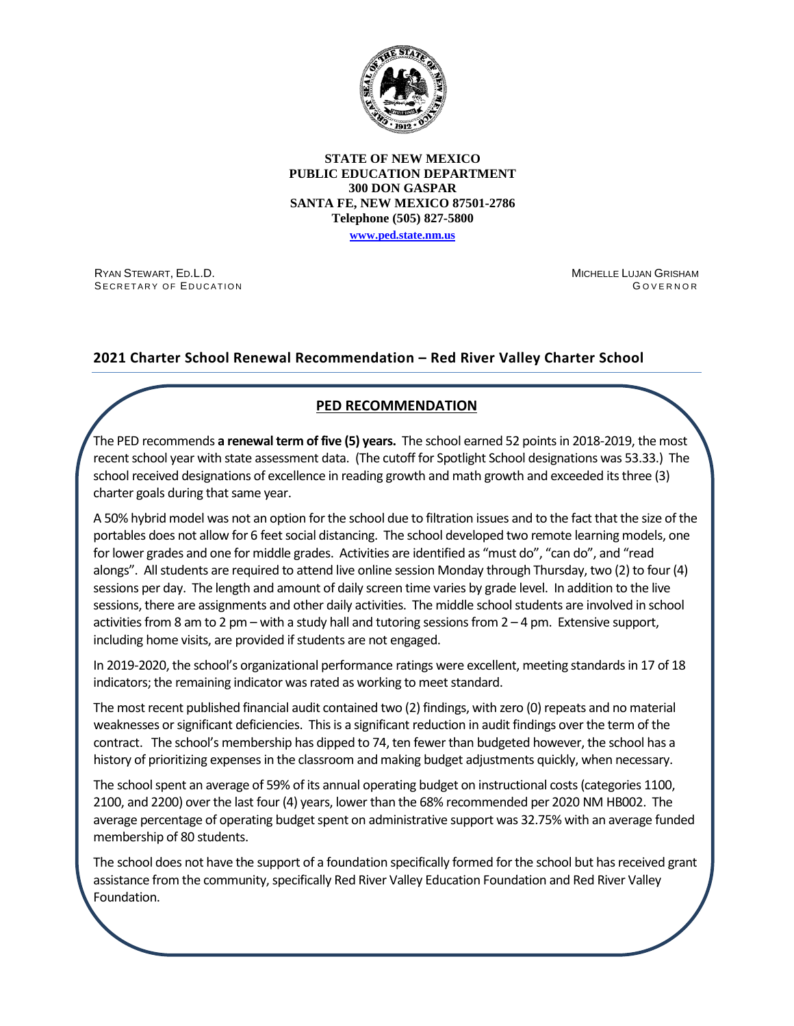

#### **STATE OF NEW MEXICO PUBLIC EDUCATION DEPARTMENT 300 DON GASPAR SANTA FE, NEW MEXICO 87501-2786 Telephone (505) 827-5800**

**[www.ped.state.nm.us](http://webnew.ped.state.nm.us/)**

RYAN STEWART, ED.L.D. SECRETARY OF EDUCATION MICHELLE LUJAN GRISHAM G OVERNOR

# **2021 Charter School Renewal Recommendation – Red River Valley Charter School**

### **PED RECOMMENDATION**

The PED recommends **a renewal term of five (5) years.** The school earned 52 pointsin 2018-2019, the most recent school year with state assessment data. (The cutoff for Spotlight School designations was 53.33.) The school received designations of excellence in reading growth and math growth and exceeded its three (3) charter goals during that same year.

A 50% hybrid model was not an option for the school due to filtration issues and to the fact that the size of the portables does not allow for 6 feet social distancing. The school developed two remote learning models, one for lower grades and one for middle grades. Activities are identified as "must do", "can do", and "read alongs". All students are required to attend live online session Monday through Thursday, two (2) to four (4) sessions per day. The length and amount of daily screen time varies by grade level. In addition to the live sessions, there are assignments and other daily activities. The middle school students are involved in school activities from 8 am to 2 pm – with a study hall and tutoring sessions from 2 – 4 pm. Extensive support, including home visits, are provided if students are not engaged.

In 2019-2020, the school's organizational performance ratings were excellent, meeting standards in 17 of 18 indicators; the remaining indicator was rated as working to meet standard.

The most recent published financial audit contained two (2) findings, with zero (0) repeats and no material weaknesses or significant deficiencies. This is a significant reduction in audit findings over the term of the contract. The school's membership has dipped to 74, ten fewer than budgeted however, the school has a history of prioritizing expenses in the classroom and making budget adjustments quickly, when necessary.

The school spent an average of 59% of its annual operating budget on instructional costs (categories 1100, 2100, and 2200) over the last four (4) years, lower than the 68% recommended per 2020 NM HB002. The average percentage of operating budget spent on administrative support was 32.75% with an average funded membership of 80 students.

The school does not have the support of a foundation specifically formed for the school but has received grant assistance from the community, specifically Red River Valley Education Foundation and Red River Valley Foundation.